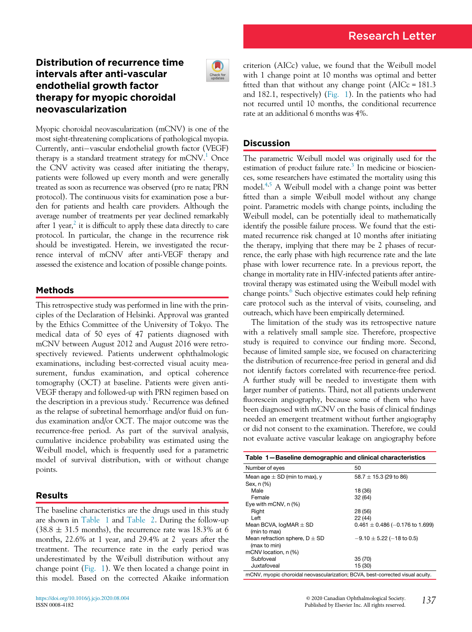# Distribution of recurrence time intervals after anti-vascular endothelial growth factor therapy for myopic choroidal neovascularization



Myopic choroidal neovascularization (mCNV) is one of the most sight-threatening complications of pathological myopia. Currently, anti-vascular endothelial growth factor (VEGF) therapy is a standard treatment strategy for mCNV.<sup>1</sup> Once the CNV activity was ceased after initiating the therapy, patients were followed up every month and were generally treated as soon as recurrence was observed (pro re nata; PRN protocol). The continuous visits for examination pose a burden for patients and health care providers. Although the average number of treatments per year declined remarkably after 1 year,  $\epsilon$  it is difficult to apply these data directly to care protocol. In particular, the change in the recurrence risk should be investigated. Herein, we investigated the recurrence interval of mCNV after anti-VEGF therapy and assessed the existence and location of possible change points.

## Methods

This retrospective study was performed in line with the principles of the Declaration of Helsinki. Approval was granted by the Ethics Committee of the University of Tokyo. The medical data of 50 eyes of 47 patients diagnosed with mCNV between August 2012 and August 2016 were retrospectively reviewed. Patients underwent ophthalmologic examinations, including best-corrected visual acuity measurement, fundus examination, and optical coherence tomography (OCT) at baseline. Patients were given anti-VEGF therapy and followed-up with PRN regimen based on the description in a previous study.<sup>[1](#page-1-0)</sup> Recurrence was defined as the relapse of subretinal hemorrhage and/or fluid on fundus examination and/or OCT. The major outcome was the recurrence-free period. As part of the survival analysis, cumulative incidence probability was estimated using the Weibull model, which is frequently used for a parametric model of survival distribution, with or without change points.

### <span id="page-0-0"></span>Results

The baseline characteristics are the drugs used in this study are shown in [Table 1](#page-0-0) and [Table 2.](#page-1-2) During the follow-up  $(38.8 \pm 31.5 \text{ months})$ , the recurrence rate was 18.3% at 6 months, 22.6% at 1 year, and 29.4% at 2 years after the treatment. The recurrence rate in the early period was underestimated by the Weibull distribution without any change point ([Fig. 1\)](#page-1-3). We then located a change point in this model. Based on the corrected Akaike information criterion (AICc) value, we found that the Weibull model with 1 change point at 10 months was optimal and better fitted than that without any change point  $(AICc = 181.3$ and 182.1, respectively) ([Fig. 1](#page-1-3)). In the patients who had not recurred until 10 months, the conditional recurrence rate at an additional 6 months was 4%.

### **Discussion**

The parametric Weibull model was originally used for the estimation of product failure rate.<sup>3</sup> In medicine or biosciences, some researchers have estimated the mortality using this model[.4,](#page-1-5)[5](#page-1-6) A Weibull model with a change point was better fitted than a simple Weibull model without any change point. Parametric models with change points, including the Weibull model, can be potentially ideal to mathematically identify the possible failure process. We found that the estimated recurrence risk changed at 10 months after initiating the therapy, implying that there may be 2 phases of recurrence, the early phase with high recurrence rate and the late phase with lower recurrence rate. In a previous report, the change in mortality rate in HIV-infected patients after antiretroviral therapy was estimated using the Weibull model with change points.<sup>[6](#page-1-7)</sup> Such objective estimates could help refining care protocol such as the interval of visits, counseling, and outreach, which have been empirically determined.

The limitation of the study was its retrospective nature with a relatively small sample size. Therefore, prospective study is required to convince our finding more. Second, because of limited sample size, we focused on characterizing the distribution of recurrence-free period in general and did not identify factors correlated with recurrence-free period. A further study will be needed to investigate them with larger number of patients. Third, not all patients underwent fluorescein angiography, because some of them who have been diagnosed with mCNV on the basis of clinical findings needed an emergent treatment without further angiography or did not consent to the examination. Therefore, we could not evaluate active vascular leakage on angiography before

| Table 1-Baseline demographic and clinical characteristics                      |                                     |  |
|--------------------------------------------------------------------------------|-------------------------------------|--|
| Number of eyes                                                                 | 50                                  |  |
| Mean age $\pm$ SD (min to max), y<br>Sex, n (%)                                | 58.7 $\pm$ 15.3 (29 to 86)          |  |
| Male                                                                           | 18 (36)                             |  |
| Female                                                                         | 32 (64)                             |  |
| Eye with mCNV, $n$ $(\%)$                                                      |                                     |  |
| Right                                                                          | 28 (56)                             |  |
| Left                                                                           | 22 (44)                             |  |
| Mean BCVA, $logMR \pm SD$<br>(min to max)                                      | $0.461 \pm 0.486$ (-0.176 to 1.699) |  |
| Mean refraction sphere, $D \pm SD$<br>(max to min)                             | $-9.10 \pm 5.22$ (-18 to 0.5)       |  |
| mCNV location, n (%)                                                           |                                     |  |
| Subfoveal                                                                      | 35(70)                              |  |
| Juxtafoveal                                                                    | 15 (30)                             |  |
| mCNV, myopic choroidal neovascularization; BCVA, best-corrected visual acuity. |                                     |  |